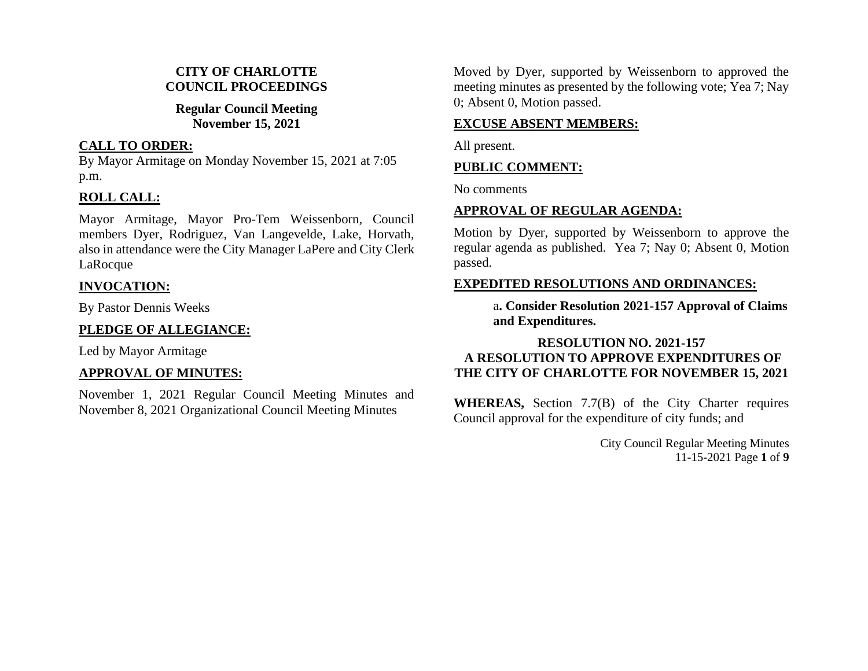### **CITY OF CHARLOTTE COUNCIL PROCEEDINGS**

#### **Regular Council Meeting November 15, 2021**

#### **CALL TO ORDER:**

By Mayor Armitage on Monday November 15, 2021 at 7:05 p.m.

## **ROLL CALL:**

Mayor Armitage, Mayor Pro-Tem Weissenborn, Council members Dyer, Rodriguez, Van Langevelde, Lake, Horvath, also in attendance were the City Manager LaPere and City Clerk LaRocque

### **INVOCATION:**

By Pastor Dennis Weeks

# **PLEDGE OF ALLEGIANCE:**

Led by Mayor Armitage

# **APPROVAL OF MINUTES:**

November 1, 2021 Regular Council Meeting Minutes and November 8, 2021 Organizational Council Meeting Minutes

Moved by Dyer, supported by Weissenborn to approved the meeting minutes as presented by the following vote; Yea 7; Nay 0; Absent 0, Motion passed.

## **EXCUSE ABSENT MEMBERS:**

All present.

### **PUBLIC COMMENT:**

No comments

# **APPROVAL OF REGULAR AGENDA:**

Motion by Dyer, supported by Weissenborn to approve the regular agenda as published. Yea 7; Nay 0; Absent 0, Motion passed.

# **EXPEDITED RESOLUTIONS AND ORDINANCES:**

a**. Consider Resolution 2021-157 Approval of Claims and Expenditures.**

# **RESOLUTION NO. 2021-157 A RESOLUTION TO APPROVE EXPENDITURES OF THE CITY OF CHARLOTTE FOR NOVEMBER 15, 2021**

**WHEREAS,** Section 7.7(B) of the City Charter requires Council approval for the expenditure of city funds; and

> City Council Regular Meeting Minutes 11-15-2021 Page **1** of **9**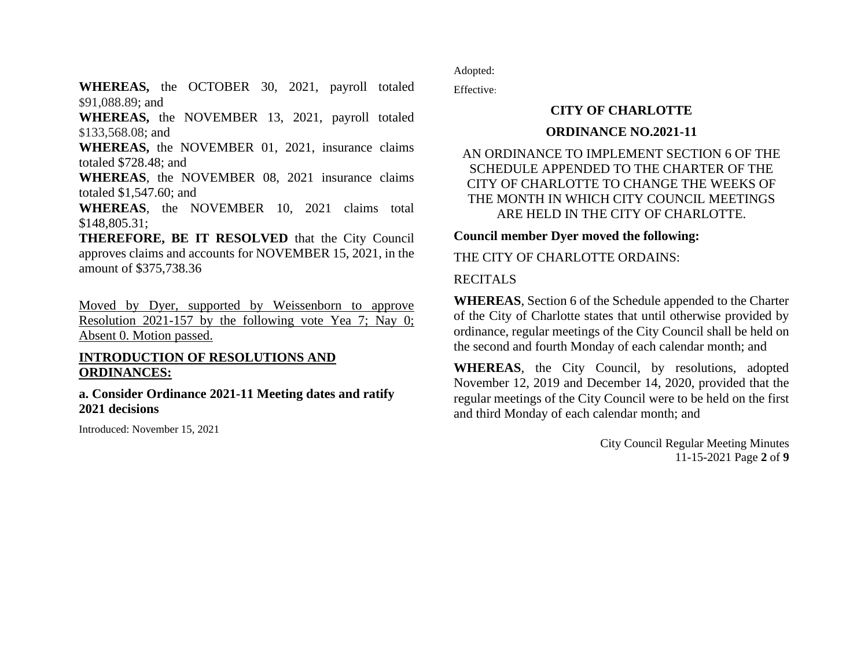**WHEREAS,** the OCTOBER 30, 2021, payroll totaled \$91,088.89; and

**WHEREAS,** the NOVEMBER 13, 2021, payroll totaled \$133,568.08; and

**WHEREAS,** the NOVEMBER 01, 2021, insurance claims totaled \$728.48; and

**WHEREAS**, the NOVEMBER 08, 2021 insurance claims totaled \$1,547.60; and

**WHEREAS**, the NOVEMBER 10, 2021 claims total \$148,805.31;

**THEREFORE, BE IT RESOLVED** that the City Council approves claims and accounts for NOVEMBER 15, 2021, in the amount of \$375,738.36

Moved by Dyer, supported by Weissenborn to approve Resolution 2021-157 by the following vote Yea 7; Nay 0; Absent 0. Motion passed.

#### **INTRODUCTION OF RESOLUTIONS AND ORDINANCES:**

**a. Consider Ordinance 2021-11 Meeting dates and ratify 2021 decisions**

Introduced: November 15, 2021

Adopted:

Effective:

# **CITY OF CHARLOTTE**

#### **ORDINANCE NO.2021-11**

### AN ORDINANCE TO IMPLEMENT SECTION 6 OF THE SCHEDULE APPENDED TO THE CHARTER OF THE CITY OF CHARLOTTE TO CHANGE THE WEEKS OF THE MONTH IN WHICH CITY COUNCIL MEETINGS ARE HELD IN THE CITY OF CHARLOTTE.

**Council member Dyer moved the following:**

THE CITY OF CHARLOTTE ORDAINS:

#### RECITALS

**WHEREAS**, Section 6 of the Schedule appended to the Charter of the City of Charlotte states that until otherwise provided by ordinance, regular meetings of the City Council shall be held on the second and fourth Monday of each calendar month; and

**WHEREAS**, the City Council, by resolutions, adopted November 12, 2019 and December 14, 2020, provided that the regular meetings of the City Council were to be held on the first and third Monday of each calendar month; and

> City Council Regular Meeting Minutes 11-15-2021 Page **2** of **9**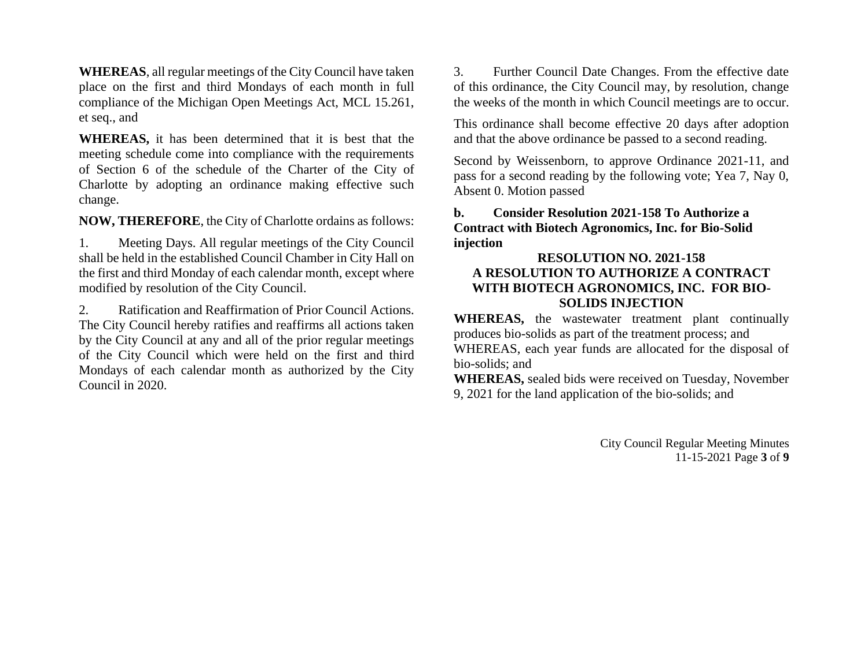**WHEREAS**, all regular meetings of the City Council have taken place on the first and third Mondays of each month in full compliance of the Michigan Open Meetings Act, MCL 15.261, et seq., and

**WHEREAS,** it has been determined that it is best that the meeting schedule come into compliance with the requirements of Section 6 of the schedule of the Charter of the City of Charlotte by adopting an ordinance making effective such change.

**NOW, THEREFORE**, the City of Charlotte ordains as follows:

1. Meeting Days. All regular meetings of the City Council shall be held in the established Council Chamber in City Hall on the first and third Monday of each calendar month, except where modified by resolution of the City Council.

2. Ratification and Reaffirmation of Prior Council Actions. The City Council hereby ratifies and reaffirms all actions taken by the City Council at any and all of the prior regular meetings of the City Council which were held on the first and third Mondays of each calendar month as authorized by the City Council in 2020.

3. Further Council Date Changes. From the effective date of this ordinance, the City Council may, by resolution, change the weeks of the month in which Council meetings are to occur.

This ordinance shall become effective 20 days after adoption and that the above ordinance be passed to a second reading.

Second by Weissenborn, to approve Ordinance 2021-11, and pass for a second reading by the following vote; Yea 7, Nay 0, Absent 0. Motion passed

**b. Consider Resolution 2021-158 To Authorize a Contract with Biotech Agronomics, Inc. for Bio-Solid injection**

#### **RESOLUTION NO. 2021-158 A RESOLUTION TO AUTHORIZE A CONTRACT WITH BIOTECH AGRONOMICS, INC. FOR BIO-SOLIDS INJECTION**

**WHEREAS,** the wastewater treatment plant continually produces bio-solids as part of the treatment process; and WHEREAS, each year funds are allocated for the disposal of bio-solids; and

**WHEREAS,** sealed bids were received on Tuesday, November 9, 2021 for the land application of the bio-solids; and

> City Council Regular Meeting Minutes 11-15-2021 Page **3** of **9**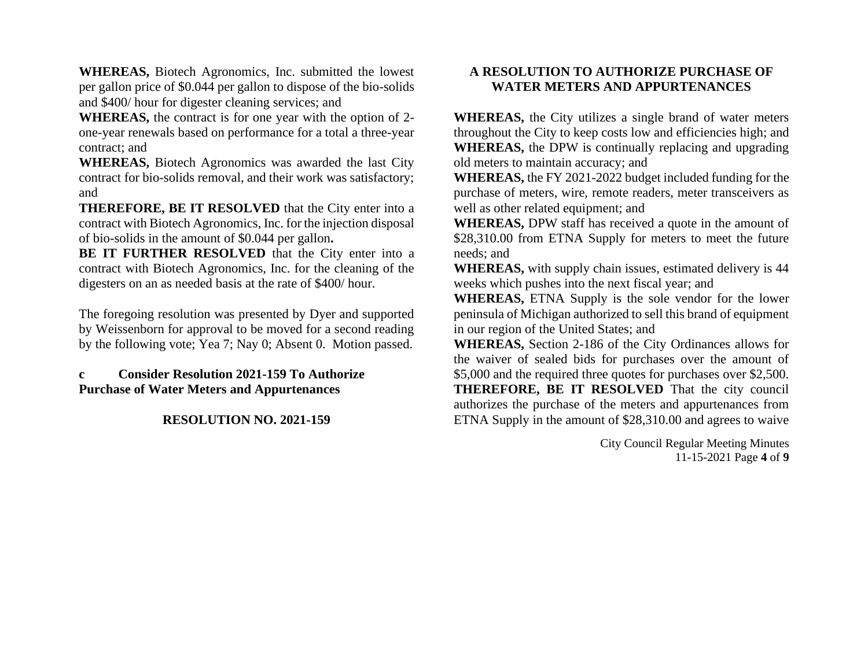**WHEREAS,** Biotech Agronomics, Inc. submitted the lowest per gallon price of \$0.044 per gallon to dispose of the bio-solids and \$400/ hour for digester cleaning services; and

**WHEREAS,** the contract is for one year with the option of 2 one-year renewals based on performance for a total a three-year contract; and

**WHEREAS,** Biotech Agronomics was awarded the last City contract for bio-solids removal, and their work was satisfactory; and

**THEREFORE, BE IT RESOLVED** that the City enter into a contract with Biotech Agronomics, Inc. for the injection disposal of bio-solids in the amount of \$0.044 per gallon**.**

**BE IT FURTHER RESOLVED** that the City enter into a contract with Biotech Agronomics, Inc. for the cleaning of the digesters on an as needed basis at the rate of \$400/ hour.

The foregoing resolution was presented by Dyer and supported by Weissenborn for approval to be moved for a second reading by the following vote; Yea 7; Nay 0; Absent 0. Motion passed.

#### **c Consider Resolution 2021-159 To Authorize Purchase of Water Meters and Appurtenances**

#### **RESOLUTION NO. 2021-159**

### **A RESOLUTION TO AUTHORIZE PURCHASE OF WATER METERS AND APPURTENANCES**

**WHEREAS,** the City utilizes a single brand of water meters throughout the City to keep costs low and efficiencies high; and **WHEREAS,** the DPW is continually replacing and upgrading old meters to maintain accuracy; and

**WHEREAS,** the FY 2021-2022 budget included funding for the purchase of meters, wire, remote readers, meter transceivers as well as other related equipment; and

**WHEREAS,** DPW staff has received a quote in the amount of \$28,310.00 from ETNA Supply for meters to meet the future needs; and

**WHEREAS,** with supply chain issues, estimated delivery is 44 weeks which pushes into the next fiscal year; and

**WHEREAS,** ETNA Supply is the sole vendor for the lower peninsula of Michigan authorized to sell this brand of equipment in our region of the United States; and

**WHEREAS,** Section 2-186 of the City Ordinances allows for the waiver of sealed bids for purchases over the amount of \$5,000 and the required three quotes for purchases over \$2,500. **THEREFORE, BE IT RESOLVED** That the city council authorizes the purchase of the meters and appurtenances from ETNA Supply in the amount of \$28,310.00 and agrees to waive

> City Council Regular Meeting Minutes 11-15-2021 Page **4** of **9**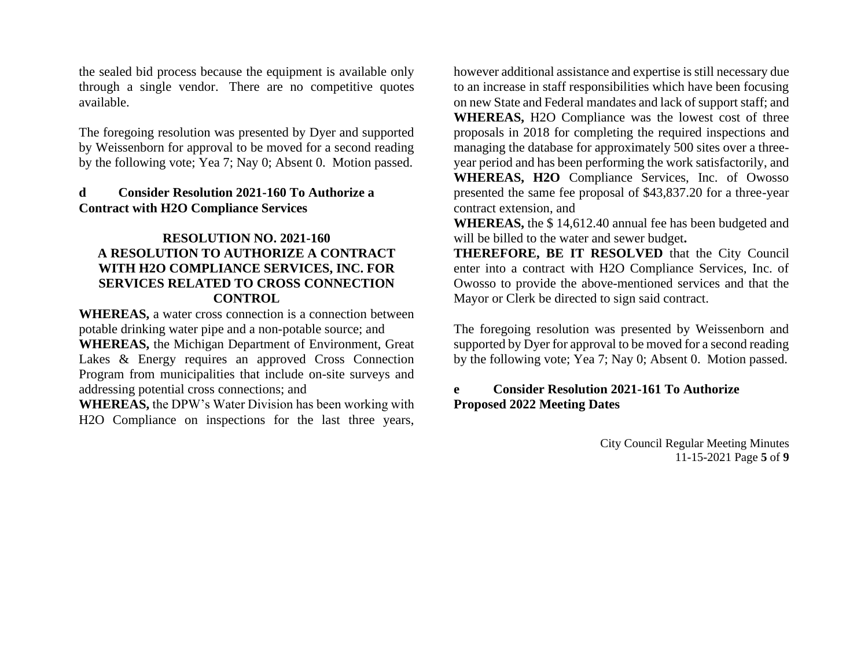the sealed bid process because the equipment is available only through a single vendor. There are no competitive quotes available.

The foregoing resolution was presented by Dyer and supported by Weissenborn for approval to be moved for a second reading by the following vote; Yea 7; Nay 0; Absent 0. Motion passed.

#### **d Consider Resolution 2021-160 To Authorize a Contract with H2O Compliance Services**

#### **RESOLUTION NO. 2021-160 A RESOLUTION TO AUTHORIZE A CONTRACT WITH H2O COMPLIANCE SERVICES, INC. FOR SERVICES RELATED TO CROSS CONNECTION CONTROL**

**WHEREAS,** a water cross connection is a connection between potable drinking water pipe and a non-potable source; and **WHEREAS,** the Michigan Department of Environment, Great Lakes & Energy requires an approved Cross Connection Program from municipalities that include on-site surveys and addressing potential cross connections; and

**WHEREAS,** the DPW's Water Division has been working with H2O Compliance on inspections for the last three years,

however additional assistance and expertise is still necessary due to an increase in staff responsibilities which have been focusing on new State and Federal mandates and lack of support staff; and **WHEREAS,** H2O Compliance was the lowest cost of three proposals in 2018 for completing the required inspections and managing the database for approximately 500 sites over a threeyear period and has been performing the work satisfactorily, and **WHEREAS, H2O** Compliance Services, Inc. of Owosso presented the same fee proposal of \$43,837.20 for a three-year contract extension, and

**WHEREAS,** the \$ 14,612.40 annual fee has been budgeted and will be billed to the water and sewer budget**.**

**THEREFORE, BE IT RESOLVED** that the City Council enter into a contract with H2O Compliance Services, Inc. of Owosso to provide the above-mentioned services and that the Mayor or Clerk be directed to sign said contract.

The foregoing resolution was presented by Weissenborn and supported by Dyer for approval to be moved for a second reading by the following vote; Yea 7; Nay 0; Absent 0. Motion passed.

### **e Consider Resolution 2021-161 To Authorize Proposed 2022 Meeting Dates**

City Council Regular Meeting Minutes 11-15-2021 Page **5** of **9**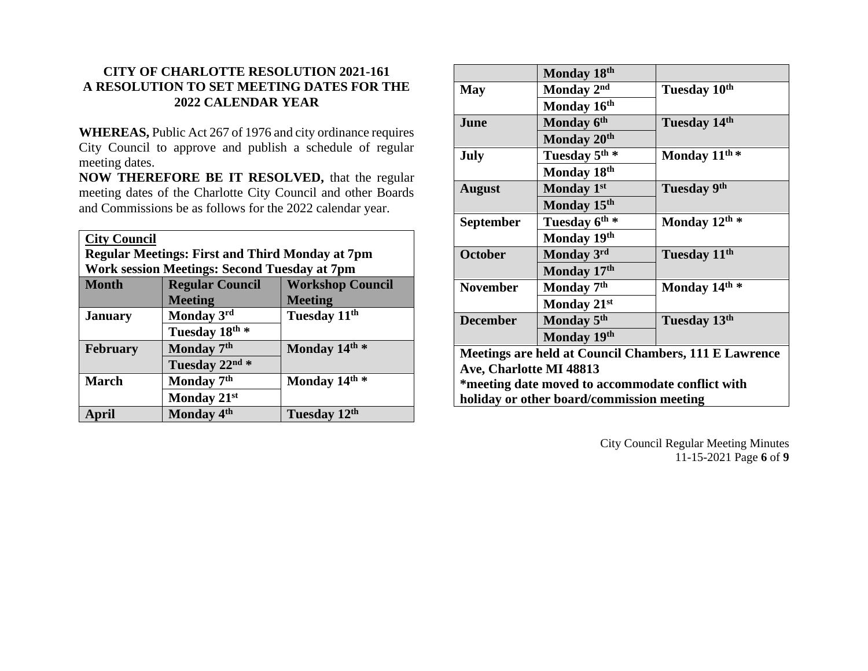# **CITY OF CHARLOTTE RESOLUTION 2021-161 A RESOLUTION TO SET MEETING DATES FOR THE 2022 CALENDAR YEAR**

**WHEREAS,** Public Act 267 of 1976 and city ordinance requires City Council to approve and publish a schedule of regular meeting dates.

**NOW THEREFORE BE IT RESOLVED,** that the regular meeting dates of the Charlotte City Council and other Boards and Commissions be as follows for the 2022 calendar year.

| <b>City Council</b>                                    |                        |                          |  |
|--------------------------------------------------------|------------------------|--------------------------|--|
| <b>Regular Meetings: First and Third Monday at 7pm</b> |                        |                          |  |
| Work session Meetings: Second Tuesday at 7pm           |                        |                          |  |
| <b>Month</b>                                           | <b>Regular Council</b> | <b>Workshop Council</b>  |  |
|                                                        | <b>Meeting</b>         | <b>Meeting</b>           |  |
| <b>January</b>                                         | Monday 3rd             | Tuesday 11 <sup>th</sup> |  |
|                                                        | Tuesday 18th *         |                          |  |
| <b>February</b>                                        | Monday 7 <sup>th</sup> | Monday 14th *            |  |
|                                                        | Tuesday 22nd *         |                          |  |
| <b>March</b>                                           | Monday 7 <sup>th</sup> | Monday 14th *            |  |
|                                                        | Monday 21st            |                          |  |
| April                                                  | Monday 4 <sup>th</sup> | Tuesday 12th             |  |

|                                                       | Monday 18th               |                           |
|-------------------------------------------------------|---------------------------|---------------------------|
| <b>May</b>                                            | Monday 2nd                | Tuesday 10th              |
|                                                       | Monday 16th               |                           |
| June                                                  | Monday 6th                | Tuesday 14th              |
|                                                       | Monday 20 <sup>th</sup>   |                           |
| <b>July</b>                                           | Tuesday 5 <sup>th</sup> * | Monday 11 <sup>th</sup> * |
|                                                       | Monday 18th               |                           |
| <b>August</b>                                         | Monday 1st                | <b>Tuesday 9th</b>        |
|                                                       | Monday 15th               |                           |
| <b>September</b>                                      | Tuesday 6 <sup>th</sup> * | Monday 12th *             |
|                                                       | Monday 19th               |                           |
| <b>October</b>                                        | Monday 3rd                | Tuesday 11 <sup>th</sup>  |
|                                                       | Monday 17th               |                           |
| <b>November</b>                                       | Monday 7 <sup>th</sup>    | Monday 14th *             |
|                                                       | Monday 21st               |                           |
| <b>December</b>                                       | Monday 5th                | Tuesday 13th              |
|                                                       | Monday 19th               |                           |
| Meetings are held at Council Chambers, 111 E Lawrence |                           |                           |
| Ave, Charlotte MI 48813                               |                           |                           |
| *meeting date moved to accommodate conflict with      |                           |                           |
| holiday or other board/commission meeting             |                           |                           |

City Council Regular Meeting Minutes 11-15-2021 Page **6** of **9**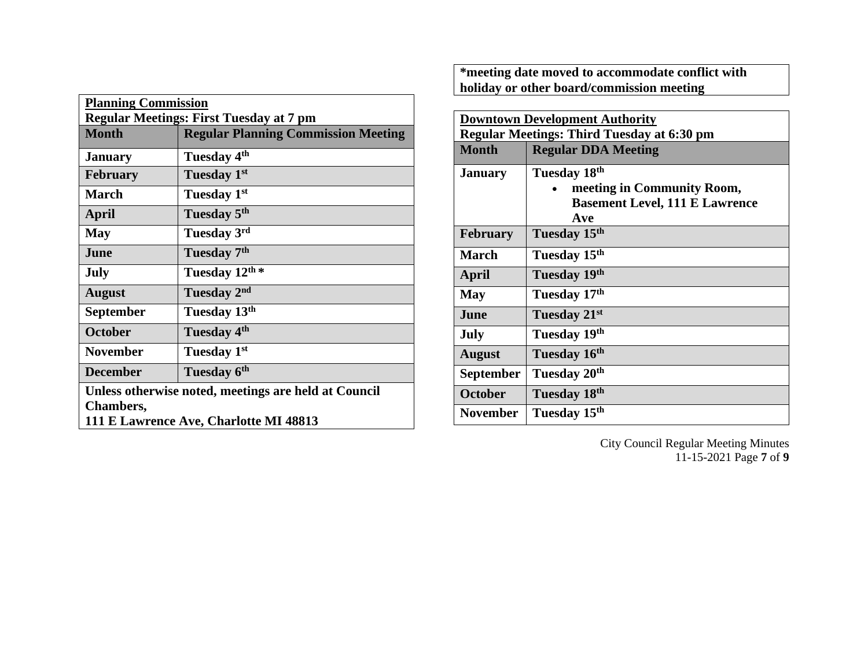| <b>Planning Commission</b>                           |                                            |  |
|------------------------------------------------------|--------------------------------------------|--|
| <b>Regular Meetings: First Tuesday at 7 pm</b>       |                                            |  |
| <b>Month</b>                                         | <b>Regular Planning Commission Meeting</b> |  |
| <b>January</b>                                       | Tuesday 4 <sup>th</sup>                    |  |
| <b>February</b>                                      | Tuesday 1st                                |  |
| <b>March</b>                                         | Tuesday 1st                                |  |
| <b>April</b>                                         | Tuesday 5 <sup>th</sup>                    |  |
| <b>May</b>                                           | Tuesday 3rd                                |  |
| June                                                 | Tuesday 7 <sup>th</sup>                    |  |
| <b>July</b>                                          | Tuesday 12th *                             |  |
| <b>August</b>                                        | Tuesday 2 <sup>nd</sup>                    |  |
| <b>September</b>                                     | Tuesday 13 <sup>th</sup>                   |  |
| <b>October</b>                                       | Tuesday 4 <sup>th</sup>                    |  |
| <b>November</b>                                      | Tuesday 1st                                |  |
| <b>December</b>                                      | Tuesday 6 <sup>th</sup>                    |  |
| Unless otherwise noted, meetings are held at Council |                                            |  |
| <b>Chambers,</b>                                     |                                            |  |
| 111 E Lawrence Ave, Charlotte MI 48813               |                                            |  |

**\*meeting date moved to accommodate conflict with holiday or other board/commission meeting**

| <b>Downtown Development Authority</b>             |                                       |  |
|---------------------------------------------------|---------------------------------------|--|
| <b>Regular Meetings: Third Tuesday at 6:30 pm</b> |                                       |  |
| <b>Month</b>                                      | <b>Regular DDA Meeting</b>            |  |
| <b>January</b>                                    | Tuesday 18th                          |  |
|                                                   | meeting in Community Room,            |  |
|                                                   | <b>Basement Level, 111 E Lawrence</b> |  |
|                                                   | Ave                                   |  |
| <b>February</b>                                   | Tuesday 15th                          |  |
| <b>March</b>                                      | Tuesday 15th                          |  |
| April                                             | Tuesday 19th                          |  |
| <b>May</b>                                        | Tuesday 17th                          |  |
| June                                              | Tuesday 21st                          |  |
| July                                              | Tuesday 19th                          |  |
| <b>August</b>                                     | Tuesday 16th                          |  |
| <b>September</b>                                  | Tuesday 20 <sup>th</sup>              |  |
| <b>October</b>                                    | Tuesday 18th                          |  |
| <b>November</b>                                   | Tuesday 15 <sup>th</sup>              |  |

City Council Regular Meeting Minutes 11-15-2021 Page **7** of **9**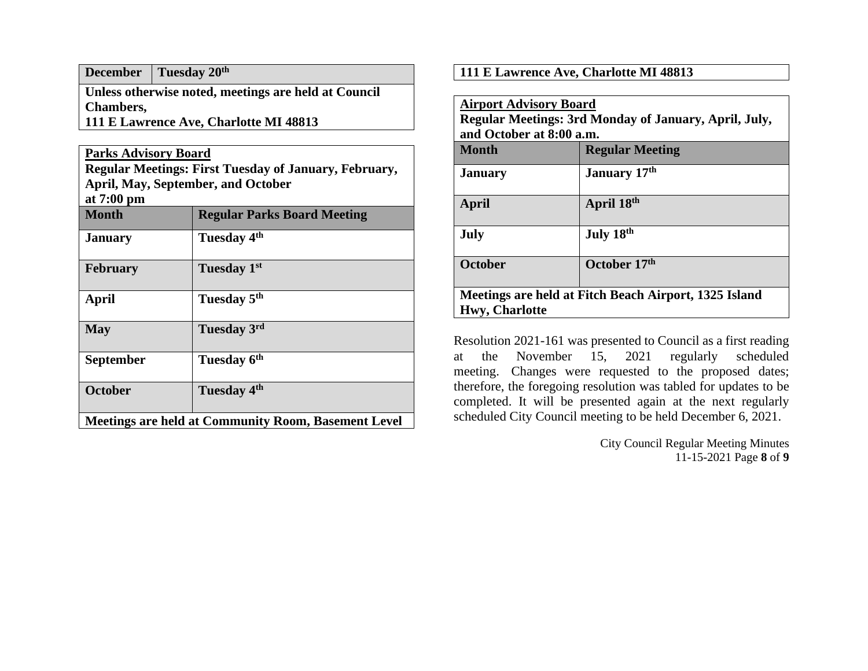**December Tuesday 20th**

**Unless otherwise noted, meetings are held at Council Chambers, 111 E Lawrence Ave, Charlotte MI 48813**

**Parks Advisory Board**

**Regular Meetings: First Tuesday of January, February, April, May, September, and October at 7:00 pm**

| <b></b><br><b>Month</b>                                    | <b>Regular Parks Board Meeting</b> |
|------------------------------------------------------------|------------------------------------|
| <b>January</b>                                             | Tuesday 4 <sup>th</sup>            |
| <b>February</b>                                            | Tuesday 1st                        |
| April                                                      | Tuesday 5 <sup>th</sup>            |
| <b>May</b>                                                 | Tuesday 3rd                        |
| <b>September</b>                                           | Tuesday 6th                        |
| <b>October</b>                                             | Tuesday 4 <sup>th</sup>            |
| <b>Meetings are held at Community Room, Basement Level</b> |                                    |

**111 E Lawrence Ave, Charlotte MI 48813**

| <b>Airport Advisory Board</b><br>Regular Meetings: 3rd Monday of January, April, July,<br>and October at 8:00 a.m. |                        |  |
|--------------------------------------------------------------------------------------------------------------------|------------------------|--|
| Month                                                                                                              | <b>Regular Meeting</b> |  |
| <b>January</b>                                                                                                     | January 17th           |  |
| April                                                                                                              | April 18th             |  |
| July                                                                                                               | July 18th              |  |
| <b>October</b>                                                                                                     | October 17th           |  |
| Meetings are held at Fitch Beach Airport, 1325 Island                                                              |                        |  |
| <b>Hwy, Charlotte</b>                                                                                              |                        |  |

Resolution 2021-161 was presented to Council as a first reading at the November 15, 2021 regularly scheduled meeting. Changes were requested to the proposed dates; therefore, the foregoing resolution was tabled for updates to be completed. It will be presented again at the next regularly scheduled City Council meeting to be held December 6, 2021.

> City Council Regular Meeting Minutes 11-15-2021 Page **8** of **9**